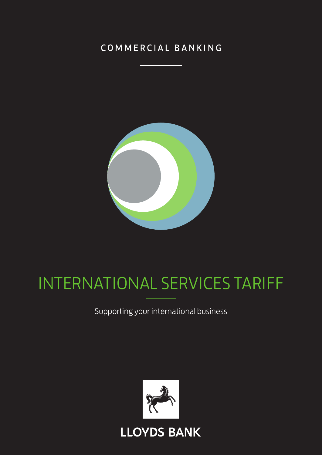## COMMERCIAL BANKING



# INTERNATIONAL SERVICES TARIFF

Supporting your international business

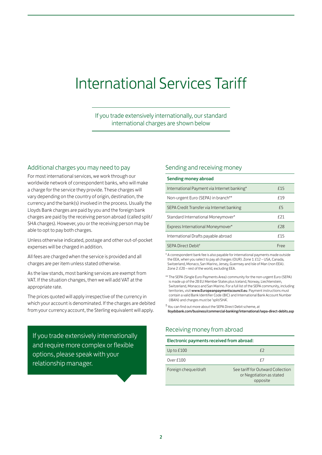## International Services Tariff

If you trade extensively internationally, our standard international charges are shown below

#### Additional charges you may need to pay

For most international services, we work through our worldwide network of correspondent banks, who will make a charge for the service they provide. These charges will vary depending on the country of origin, destination, the currency and the bank(s) involved in the process. Usually the Lloyds Bank charges are paid by you and the foreign bank charges are paid by the receiving person abroad (called split/ SHA charges). However, you or the receiving person may be able to opt to pay both charges.

Unless otherwise indicated, postage and other out-of-pocket expenses will be charged in addition.

All fees are charged when the service is provided and all charges are per item unless stated otherwise.

As the law stands, most banking services are exempt from VAT. If the situation changes, then we will add VAT at the appropriate rate.

The prices quoted will apply irrespective of the currency in which your account is denominated. If the charges are debited from your currency account, the Sterling equivalent will apply.

If you trade extensively internationally and require more complex or flexible options, please speak with your relationship manager.

#### Sending and receiving money

| Sending money abroad                        |             |
|---------------------------------------------|-------------|
| International Payment via Internet banking* | f15         |
| Non-urgent Euro (SEPA) in branch**          | f19         |
| SEPA Credit Transfer via Internet banking   | £5          |
| Standard International Moneymover*          | <b>f</b> 21 |
| Express International Moneymover*           | <b>f</b> 28 |
| International Drafts payable abroad         | f15         |
| SEPA Direct Debit <sup>t</sup>              | Free        |

\* A correspondent bank fee is also payable for international payments made outside the EEA, when you select to pay all charges (OUR). Zone 1: £12 – USA, Canada, Switzerland, Monaco, San Marino, Jersey, Guernsey and Isle of Man (non EEA). Zone 2: £20 – rest of the world, excluding EEA.

\*\* The SEPA (Single Euro Payments Area) community for the non-urgent Euro (SEPA) is made up of the 28 EU Member States plus Iceland, Norway, Liechtenstein, Switzerland, Monaco and San Marino. For a full list of the SEPA community, including territories, visit www.Europeanpaymentscouncil.eu. Payment instructions must contain a valid Bank Identifier Code (BIC) and International Bank Account Number (IBAN) and charges must be 'split/SHA'.

† You can find out more about the SEPA Direct Debit scheme, at lloydsbank.com/business/commercial-banking/international/sepa-direct-debits.asp

#### Receiving money from abroad

#### Electronic payments received from abroad:

| Up to $£100$         | f)                                                                        |
|----------------------|---------------------------------------------------------------------------|
| Over £100            | f7                                                                        |
| Foreign cheque/draft | See tariff for Outward Collection<br>or Negotiation as stated<br>opposite |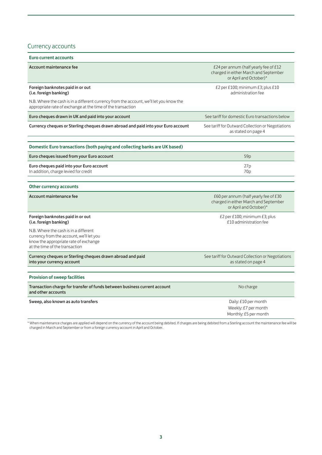### Currency accounts

| <b>Euro current accounts</b>                                                                                                                                 |                                                                                                          |
|--------------------------------------------------------------------------------------------------------------------------------------------------------------|----------------------------------------------------------------------------------------------------------|
| Account maintenance fee                                                                                                                                      | £24 per annum (half yearly fee of £12<br>charged in either March and September<br>or April and October)* |
| Foreign banknotes paid in or out<br>(i.e. foreign banking)                                                                                                   | £2 per £100; minimum £3; plus £10<br>administration fee                                                  |
| N.B. Where the cash is in a different currency from the account, we'll let you know the<br>appropriate rate of exchange at the time of the transaction       |                                                                                                          |
| Euro cheques drawn in UK and paid into your account                                                                                                          | See tariff for domestic Euro transactions below                                                          |
| Currency cheques or Sterling cheques drawn abroad and paid into your Euro account                                                                            | See tariff for Outward Collection or Negotiations<br>as stated on page 4                                 |
| Domestic Euro transactions (both paying and collecting banks are UK based)                                                                                   |                                                                                                          |
| Euro cheques issued from your Euro account                                                                                                                   | 59 <sub>p</sub>                                                                                          |
| Euro cheques paid into your Euro account<br>In addition, charge levied for credit                                                                            | 27p<br>70 <sub>p</sub>                                                                                   |
|                                                                                                                                                              |                                                                                                          |
| Other currency accounts                                                                                                                                      |                                                                                                          |
| <b>Account maintenance fee</b>                                                                                                                               | £60 per annum (half yearly fee of £30<br>charged in either March and September<br>or April and October)* |
| Foreign banknotes paid in or out<br>(i.e. foreign banking)                                                                                                   | £2 per £100; minimum $£3$ ; plus<br>£10 administration fee                                               |
| N.B. Where the cash is in a different<br>currency from the account, we'll let you<br>know the appropriate rate of exchange<br>at the time of the transaction |                                                                                                          |
| Currency cheques or Sterling cheques drawn abroad and paid<br>into your currency account                                                                     | See tariff for Outward Collection or Negotiations<br>as stated on page 4                                 |
|                                                                                                                                                              |                                                                                                          |
| <b>Provision of sweep facilities</b>                                                                                                                         |                                                                                                          |
| Transaction charge for transfer of funds between business current account<br>and other accounts                                                              | No charge                                                                                                |
| Sweep, also known as auto transfers                                                                                                                          | Daily: £10 per month<br>Weekly: £7 per month<br>Monthly: £5 per month                                    |

\* When maintenance charges are applied will depend on the currency of the account being debited. If charges are being debited from a Sterling account the maintenance fee will be charged in March and September or from a foreign currency account in April and October.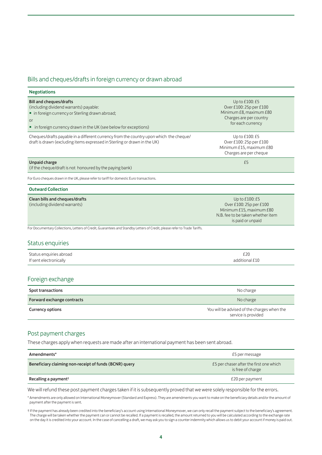#### Bills and cheques/drafts in foreign currency or drawn abroad

| <b>Negotiations</b>                                                                                                                                                                                   |                                                                                                                                 |
|-------------------------------------------------------------------------------------------------------------------------------------------------------------------------------------------------------|---------------------------------------------------------------------------------------------------------------------------------|
| <b>Bill and cheques/drafts</b><br>(including dividend warrants) payable:<br>· in foreign currency or Sterling drawn abroad;<br>or<br>• in foreign currency drawn in the UK (see below for exceptions) | Up to £100: £5<br>Over £100: 25p per £100<br>Minimum £8, maximum £80<br>Charges are per country<br>for each currency            |
| Cheques/drafts payable in a different currency from the country upon which the cheque/<br>draft is drawn (excluding items expressed in Sterling or drawn in the UK)                                   | Up to £100: £5<br>Over £100: 25p per £100<br>Minimum £15, maximum £80<br>Charges are per cheque                                 |
| <b>Unpaid charge</b><br>(if the cheque/draft is not honoured by the paying bank)                                                                                                                      | £5                                                                                                                              |
| For Euro cheques drawn in the UK, please refer to tariff for domestic Euro transactions.                                                                                                              |                                                                                                                                 |
| <b>Outward Collection</b>                                                                                                                                                                             |                                                                                                                                 |
| Clean bills and cheques/drafts<br>(including dividend warrants)                                                                                                                                       | Up to £100: £5<br>Over £100: 25p per £100<br>Minimum £15, maximum £80<br>N.B. fee to be taken whether item<br>is paid or unpaid |
| For Documentary Collections, Letters of Credit, Guarantees and Standby Letters of Credit, please refer to Trade Tariffs.                                                                              |                                                                                                                                 |
| Status enquiries                                                                                                                                                                                      |                                                                                                                                 |
| Status enquiries abroad<br>If sent electronically                                                                                                                                                     | £20<br>additional £10                                                                                                           |
| Foreign exchange                                                                                                                                                                                      |                                                                                                                                 |
| <b>Spot transactions</b>                                                                                                                                                                              | No charge                                                                                                                       |
| Forward exchange contracts                                                                                                                                                                            | No charge                                                                                                                       |
| <b>Currency options</b>                                                                                                                                                                               | You will be advised of the charges when the<br>service is provided                                                              |
| Post payment charges                                                                                                                                                                                  |                                                                                                                                 |

These charges apply when requests are made after an international payment has been sent abroad.

| Amendments*                                            | £5 per message                                               |
|--------------------------------------------------------|--------------------------------------------------------------|
| Beneficiary claiming non-receipt of funds (BCNR) query | £5 per chaser after the first one which<br>is free of charge |
| Recalling a payment <sup>†</sup>                       | £20 per payment                                              |

We will refund these post payment charges taken if it is subsequently proved that we were solely responsible for the errors.

\* Amendments are only allowed on International Moneymover (Standard and Express). They are amendments you want to make on the beneficiary details and/or the amount of payment after the payment is sent.

<sup>†</sup> If the payment has already been credited into the beneficiary's account using International Moneymover, we can only recall the payment subject to the beneficiary's agreement. The charge will be taken whether the payment can or cannot be recalled. If a payment is recalled, the amount returned to you will be calculated according to the exchange rate on the day it is credited into your account. In the case of cancelling a draft, we may ask you to sign a counter indemnity which allows us to debit your account if money is paid out.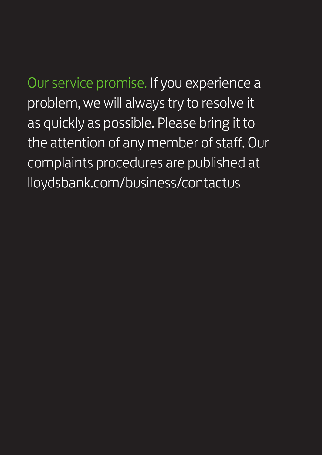Our service promise. If you experience a problem, we will always try to resolve it as quickly as possible. Please bring it to the attention of any member of staff. Our complaints procedures are published at lloydsbank.com/business/contactus